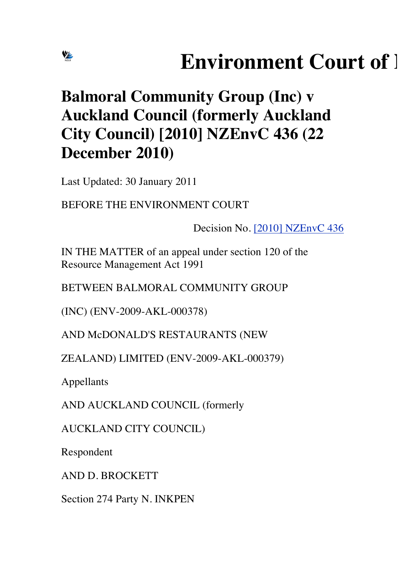# **Environment Court of 1**

# **Balmoral Community Group (Inc) v Auckland Council (formerly Auckland City Council) [2010] NZEnvC 436 (22 December 2010)**

Last Updated: 30 January 2011

BEFORE THE ENVIRONMENT COURT

Decision No. [2010] NZEnvC 436

IN THE MATTER of an appeal under section 120 of the Resource Management Act 1991

BETWEEN BALMORAL COMMUNITY GROUP

(INC) (ENV-2009-AKL-000378)

AND McDONALD'S RESTAURANTS (NEW

ZEALAND) LIMITED (ENV-2009-AKL-000379)

Appellants

VE

AND AUCKLAND COUNCIL (formerly

AUCKLAND CITY COUNCIL)

Respondent

AND D. BROCKETT

Section 274 Party N. INKPEN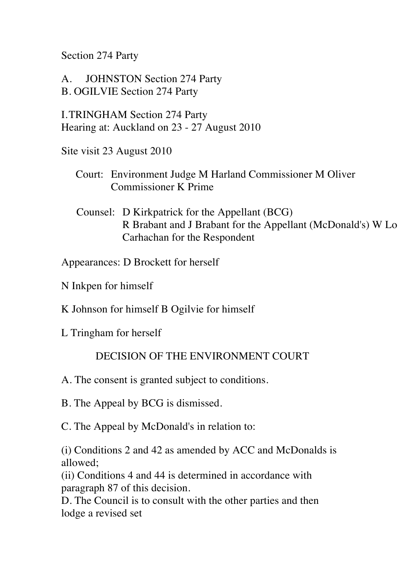Section 274 Party

A. JOHNSTON Section 274 Party B. OGILVIE Section 274 Party

I.TRINGHAM Section 274 Party Hearing at: Auckland on 23 - 27 August 2010

Site visit 23 August 2010

- Court: Environment Judge M Harland Commissioner M Oliver Commissioner K Prime
- Counsel: D Kirkpatrick for the Appellant (BCG) R Brabant and J Brabant for the Appellant (McDonald's) W Lo Carhachan for the Respondent

Appearances: D Brockett for herself

- N Inkpen for himself
- K Johnson for himself B Ogilvie for himself
- L Tringham for herself

#### DECISION OF THE ENVIRONMENT COURT

- A. The consent is granted subject to conditions.
- B. The Appeal by BCG is dismissed.
- C. The Appeal by McDonald's in relation to:

(i) Conditions 2 and 42 as amended by ACC and McDonalds is allowed;

(ii) Conditions 4 and 44 is determined in accordance with paragraph 87 of this decision.

D. The Council is to consult with the other parties and then lodge a revised set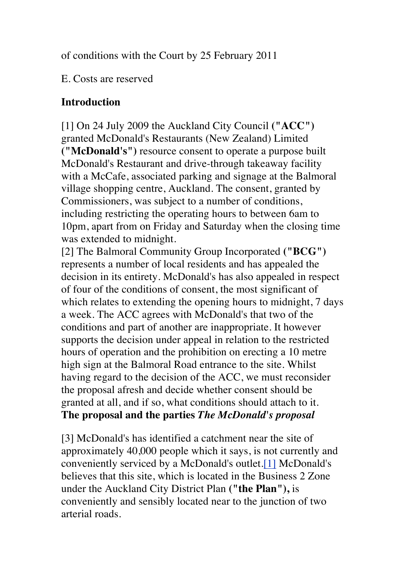of conditions with the Court by 25 February 2011

E. Costs are reserved

## **Introduction**

[1] On 24 July 2009 the Auckland City Council **("ACC")**  granted McDonald's Restaurants (New Zealand) Limited **("McDonald's")** resource consent to operate a purpose built McDonald's Restaurant and drive-through takeaway facility with a McCafe, associated parking and signage at the Balmoral village shopping centre, Auckland. The consent, granted by Commissioners, was subject to a number of conditions, including restricting the operating hours to between 6am to 10pm, apart from on Friday and Saturday when the closing time was extended to midnight.

[2] The Balmoral Community Group Incorporated **("BCG")**  represents a number of local residents and has appealed the decision in its entirety. McDonald's has also appealed in respect of four of the conditions of consent, the most significant of which relates to extending the opening hours to midnight, 7 days a week. The ACC agrees with McDonald's that two of the conditions and part of another are inappropriate. It however supports the decision under appeal in relation to the restricted hours of operation and the prohibition on erecting a 10 metre high sign at the Balmoral Road entrance to the site. Whilst having regard to the decision of the ACC, we must reconsider the proposal afresh and decide whether consent should be granted at all, and if so, what conditions should attach to it. **The proposal and the parties** *The McDonald's proposal*

[3] McDonald's has identified a catchment near the site of approximately 40,000 people which it says, is not currently and conveniently serviced by a McDonald's outlet.[1] McDonald's believes that this site, which is located in the Business 2 Zone under the Auckland City District Plan **("the Plan"),** is conveniently and sensibly located near to the junction of two arterial roads.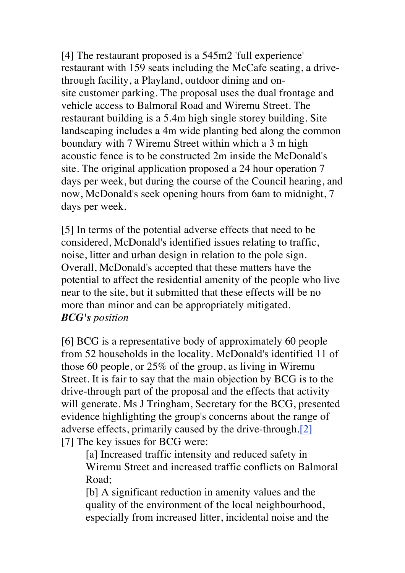[4] The restaurant proposed is a 545m2 'full experience' restaurant with 159 seats including the McCafe seating, a drivethrough facility, a Playland, outdoor dining and onsite customer parking. The proposal uses the dual frontage and vehicle access to Balmoral Road and Wiremu Street. The restaurant building is a 5.4m high single storey building. Site landscaping includes a 4m wide planting bed along the common boundary with 7 Wiremu Street within which a 3 m high acoustic fence is to be constructed 2m inside the McDonald's site. The original application proposed a 24 hour operation 7 days per week, but during the course of the Council hearing, and now, McDonald's seek opening hours from 6am to midnight, 7 days per week.

[5] In terms of the potential adverse effects that need to be considered, McDonald's identified issues relating to traffic, noise, litter and urban design in relation to the pole sign. Overall, McDonald's accepted that these matters have the potential to affect the residential amenity of the people who live near to the site, but it submitted that these effects will be no more than minor and can be appropriately mitigated. *BCG's position*

[6] BCG is a representative body of approximately 60 people from 52 households in the locality. McDonald's identified 11 of those 60 people, or 25% of the group, as living in Wiremu Street. It is fair to say that the main objection by BCG is to the drive-through part of the proposal and the effects that activity will generate. Ms J Tringham, Secretary for the BCG, presented evidence highlighting the group's concerns about the range of adverse effects, primarily caused by the drive-through.[2] [7] The key issues for BCG were:

[a] Increased traffic intensity and reduced safety in Wiremu Street and increased traffic conflicts on Balmoral Road;

[b] A significant reduction in amenity values and the quality of the environment of the local neighbourhood, especially from increased litter, incidental noise and the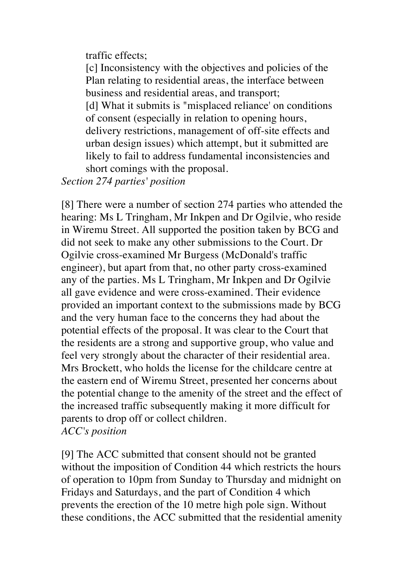traffic effects;

[c] Inconsistency with the objectives and policies of the Plan relating to residential areas, the interface between business and residential areas, and transport; [d] What it submits is "misplaced reliance' on conditions" of consent (especially in relation to opening hours, delivery restrictions, management of off-site effects and urban design issues) which attempt, but it submitted are likely to fail to address fundamental inconsistencies and short comings with the proposal.

*Section 274 parties' position*

[8] There were a number of section 274 parties who attended the hearing: Ms L Tringham, Mr Inkpen and Dr Ogilvie, who reside in Wiremu Street. All supported the position taken by BCG and did not seek to make any other submissions to the Court. Dr Ogilvie cross-examined Mr Burgess (McDonald's traffic engineer), but apart from that, no other party cross-examined any of the parties. Ms L Tringham, Mr Inkpen and Dr Ogilvie all gave evidence and were cross-examined. Their evidence provided an important context to the submissions made by BCG and the very human face to the concerns they had about the potential effects of the proposal. It was clear to the Court that the residents are a strong and supportive group, who value and feel very strongly about the character of their residential area. Mrs Brockett, who holds the license for the childcare centre at the eastern end of Wiremu Street, presented her concerns about the potential change to the amenity of the street and the effect of the increased traffic subsequently making it more difficult for parents to drop off or collect children. *ACC's position*

[9] The ACC submitted that consent should not be granted without the imposition of Condition 44 which restricts the hours of operation to 10pm from Sunday to Thursday and midnight on Fridays and Saturdays, and the part of Condition 4 which prevents the erection of the 10 metre high pole sign. Without these conditions, the ACC submitted that the residential amenity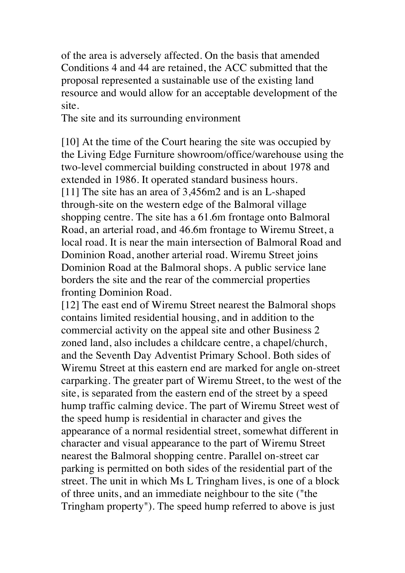of the area is adversely affected. On the basis that amended Conditions 4 and 44 are retained, the ACC submitted that the proposal represented a sustainable use of the existing land resource and would allow for an acceptable development of the site.

The site and its surrounding environment

[10] At the time of the Court hearing the site was occupied by the Living Edge Furniture showroom/office/warehouse using the two-level commercial building constructed in about 1978 and extended in 1986. It operated standard business hours. [11] The site has an area of 3,456m2 and is an L-shaped through-site on the western edge of the Balmoral village shopping centre. The site has a 61.6m frontage onto Balmoral Road, an arterial road, and 46.6m frontage to Wiremu Street, a local road. It is near the main intersection of Balmoral Road and Dominion Road, another arterial road. Wiremu Street joins Dominion Road at the Balmoral shops. A public service lane borders the site and the rear of the commercial properties fronting Dominion Road.

[12] The east end of Wiremu Street nearest the Balmoral shops contains limited residential housing, and in addition to the commercial activity on the appeal site and other Business 2 zoned land, also includes a childcare centre, a chapel/church, and the Seventh Day Adventist Primary School. Both sides of Wiremu Street at this eastern end are marked for angle on-street carparking. The greater part of Wiremu Street, to the west of the site, is separated from the eastern end of the street by a speed hump traffic calming device. The part of Wiremu Street west of the speed hump is residential in character and gives the appearance of a normal residential street, somewhat different in character and visual appearance to the part of Wiremu Street nearest the Balmoral shopping centre. Parallel on-street car parking is permitted on both sides of the residential part of the street. The unit in which Ms L Tringham lives, is one of a block of three units, and an immediate neighbour to the site ("the Tringham property"). The speed hump referred to above is just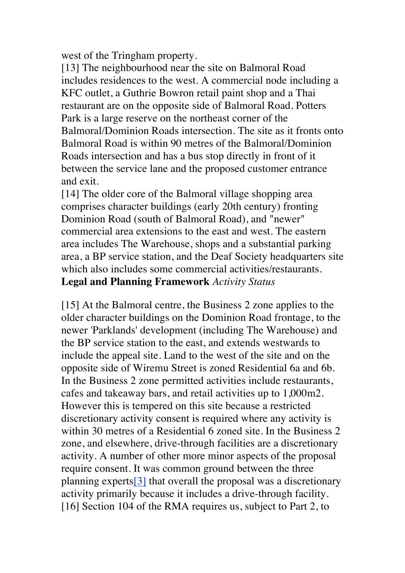west of the Tringham property.

[13] The neighbourhood near the site on Balmoral Road includes residences to the west. A commercial node including a KFC outlet, a Guthrie Bowron retail paint shop and a Thai restaurant are on the opposite side of Balmoral Road. Potters Park is a large reserve on the northeast corner of the Balmoral/Dominion Roads intersection. The site as it fronts onto Balmoral Road is within 90 metres of the Balmoral/Dominion Roads intersection and has a bus stop directly in front of it between the service lane and the proposed customer entrance and exit.

[14] The older core of the Balmoral village shopping area comprises character buildings (early 20th century) fronting Dominion Road (south of Balmoral Road), and "newer" commercial area extensions to the east and west. The eastern area includes The Warehouse, shops and a substantial parking area, a BP service station, and the Deaf Society headquarters site which also includes some commercial activities/restaurants. **Legal and Planning Framework** *Activity Status*

[15] At the Balmoral centre, the Business 2 zone applies to the older character buildings on the Dominion Road frontage, to the newer 'Parklands' development (including The Warehouse) and the BP service station to the east, and extends westwards to include the appeal site. Land to the west of the site and on the opposite side of Wiremu Street is zoned Residential 6a and 6b. In the Business 2 zone permitted activities include restaurants, cafes and takeaway bars, and retail activities up to 1,000m2. However this is tempered on this site because a restricted discretionary activity consent is required where any activity is within 30 metres of a Residential 6 zoned site. In the Business 2 zone, and elsewhere, drive-through facilities are a discretionary activity. A number of other more minor aspects of the proposal require consent. It was common ground between the three planning experts[3] that overall the proposal was a discretionary activity primarily because it includes a drive-through facility. [16] Section 104 of the RMA requires us, subject to Part 2, to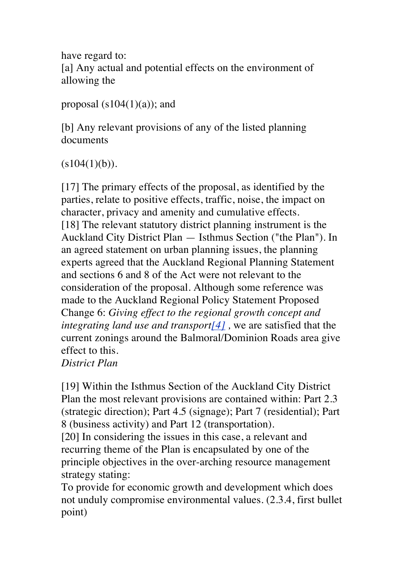have regard to: [a] Any actual and potential effects on the environment of allowing the

proposal  $(s104(1)(a))$ ; and

[b] Any relevant provisions of any of the listed planning documents

 $(s104(1)(b)).$ 

[17] The primary effects of the proposal, as identified by the parties, relate to positive effects, traffic, noise, the impact on character, privacy and amenity and cumulative effects. [18] The relevant statutory district planning instrument is the Auckland City District Plan — Isthmus Section ("the Plan"). In an agreed statement on urban planning issues, the planning experts agreed that the Auckland Regional Planning Statement and sections 6 and 8 of the Act were not relevant to the consideration of the proposal. Although some reference was made to the Auckland Regional Policy Statement Proposed Change 6: *Giving effect to the regional growth concept and integrating land use and transport*[4], we are satisfied that the current zonings around the Balmoral/Dominion Roads area give effect to this. *District Plan*

[19] Within the Isthmus Section of the Auckland City District Plan the most relevant provisions are contained within: Part 2.3 (strategic direction); Part 4.5 (signage); Part 7 (residential); Part 8 (business activity) and Part 12 (transportation).

[20] In considering the issues in this case, a relevant and recurring theme of the Plan is encapsulated by one of the principle objectives in the over-arching resource management strategy stating:

To provide for economic growth and development which does not unduly compromise environmental values. (2.3.4, first bullet point)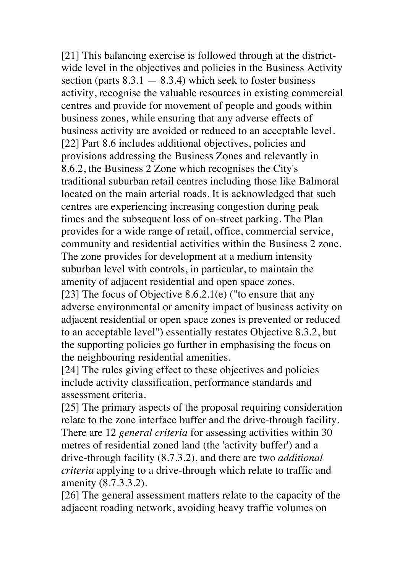[21] This balancing exercise is followed through at the districtwide level in the objectives and policies in the Business Activity section (parts  $8.3.1 - 8.3.4$ ) which seek to foster business activity, recognise the valuable resources in existing commercial centres and provide for movement of people and goods within business zones, while ensuring that any adverse effects of business activity are avoided or reduced to an acceptable level. [22] Part 8.6 includes additional objectives, policies and provisions addressing the Business Zones and relevantly in 8.6.2, the Business 2 Zone which recognises the City's traditional suburban retail centres including those like Balmoral located on the main arterial roads. It is acknowledged that such centres are experiencing increasing congestion during peak times and the subsequent loss of on-street parking. The Plan provides for a wide range of retail, office, commercial service, community and residential activities within the Business 2 zone. The zone provides for development at a medium intensity suburban level with controls, in particular, to maintain the amenity of adjacent residential and open space zones. [23] The focus of Objective 8.6.2.1(e) ("to ensure that any adverse environmental or amenity impact of business activity on adjacent residential or open space zones is prevented or reduced to an acceptable level") essentially restates Objective 8.3.2, but the supporting policies go further in emphasising the focus on

the neighbouring residential amenities.

[24] The rules giving effect to these objectives and policies include activity classification, performance standards and assessment criteria.

[25] The primary aspects of the proposal requiring consideration relate to the zone interface buffer and the drive-through facility. There are 12 *general criteria* for assessing activities within 30 metres of residential zoned land (the 'activity buffer') and a drive-through facility (8.7.3.2), and there are two *additional criteria* applying to a drive-through which relate to traffic and amenity (8.7.3.3.2).

[26] The general assessment matters relate to the capacity of the adjacent roading network, avoiding heavy traffic volumes on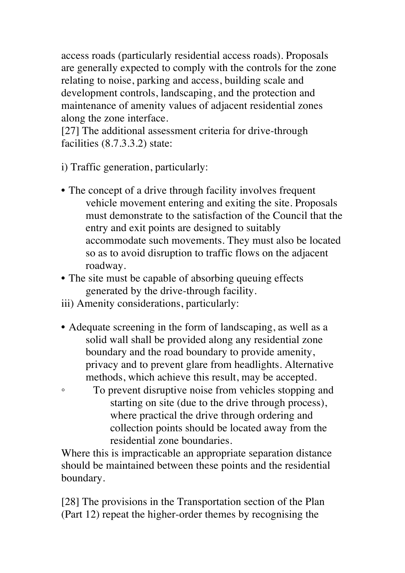access roads (particularly residential access roads). Proposals are generally expected to comply with the controls for the zone relating to noise, parking and access, building scale and development controls, landscaping, and the protection and maintenance of amenity values of adjacent residential zones along the zone interface.

[27] The additional assessment criteria for drive-through facilities (8.7.3.3.2) state:

i) Traffic generation, particularly:

- The concept of a drive through facility involves frequent vehicle movement entering and exiting the site. Proposals must demonstrate to the satisfaction of the Council that the entry and exit points are designed to suitably accommodate such movements. They must also be located so as to avoid disruption to traffic flows on the adjacent roadway.
- The site must be capable of absorbing queuing effects generated by the drive-through facility.
- iii) Amenity considerations, particularly:
- Adequate screening in the form of landscaping, as well as a solid wall shall be provided along any residential zone boundary and the road boundary to provide amenity, privacy and to prevent glare from headlights. Alternative methods, which achieve this result, may be accepted.
- To prevent disruptive noise from vehicles stopping and starting on site (due to the drive through process), where practical the drive through ordering and collection points should be located away from the residential zone boundaries.

Where this is impracticable an appropriate separation distance should be maintained between these points and the residential boundary.

[28] The provisions in the Transportation section of the Plan (Part 12) repeat the higher-order themes by recognising the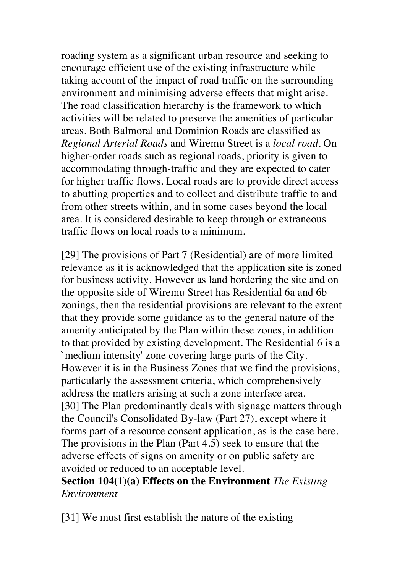roading system as a significant urban resource and seeking to encourage efficient use of the existing infrastructure while taking account of the impact of road traffic on the surrounding environment and minimising adverse effects that might arise. The road classification hierarchy is the framework to which activities will be related to preserve the amenities of particular areas. Both Balmoral and Dominion Roads are classified as *Regional Arterial Roads* and Wiremu Street is a *local road.* On higher-order roads such as regional roads, priority is given to accommodating through-traffic and they are expected to cater for higher traffic flows. Local roads are to provide direct access to abutting properties and to collect and distribute traffic to and from other streets within, and in some cases beyond the local area. It is considered desirable to keep through or extraneous traffic flows on local roads to a minimum.

[29] The provisions of Part 7 (Residential) are of more limited relevance as it is acknowledged that the application site is zoned for business activity. However as land bordering the site and on the opposite side of Wiremu Street has Residential 6a and 6b zonings, then the residential provisions are relevant to the extent that they provide some guidance as to the general nature of the amenity anticipated by the Plan within these zones, in addition to that provided by existing development. The Residential 6 is a `medium intensity' zone covering large parts of the City. However it is in the Business Zones that we find the provisions, particularly the assessment criteria, which comprehensively address the matters arising at such a zone interface area. [30] The Plan predominantly deals with signage matters through the Council's Consolidated By-law (Part 27), except where it forms part of a resource consent application, as is the case here. The provisions in the Plan (Part 4.5) seek to ensure that the adverse effects of signs on amenity or on public safety are avoided or reduced to an acceptable level.

**Section 104(1)(a) Effects on the Environment** *The Existing Environment*

[31] We must first establish the nature of the existing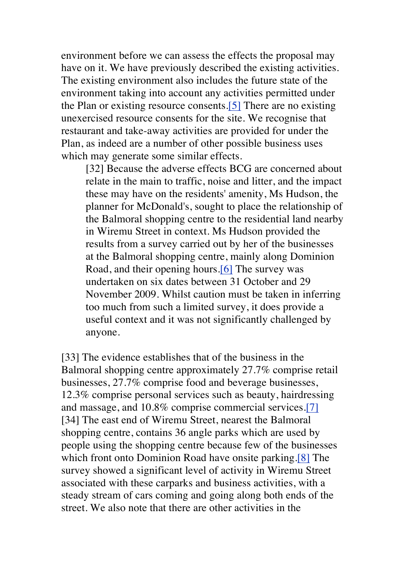environment before we can assess the effects the proposal may have on it. We have previously described the existing activities. The existing environment also includes the future state of the environment taking into account any activities permitted under the Plan or existing resource consents.[5] There are no existing unexercised resource consents for the site. We recognise that restaurant and take-away activities are provided for under the Plan, as indeed are a number of other possible business uses which may generate some similar effects.

[32] Because the adverse effects BCG are concerned about relate in the main to traffic, noise and litter, and the impact these may have on the residents' amenity, Ms Hudson, the planner for McDonald's, sought to place the relationship of the Balmoral shopping centre to the residential land nearby in Wiremu Street in context. Ms Hudson provided the results from a survey carried out by her of the businesses at the Balmoral shopping centre, mainly along Dominion Road, and their opening hours.[6] The survey was undertaken on six dates between 31 October and 29 November 2009. Whilst caution must be taken in inferring too much from such a limited survey, it does provide a useful context and it was not significantly challenged by anyone.

[33] The evidence establishes that of the business in the Balmoral shopping centre approximately 27.7% comprise retail businesses, 27.7% comprise food and beverage businesses, 12.3% comprise personal services such as beauty, hairdressing and massage, and 10.8% comprise commercial services.[7] [34] The east end of Wiremu Street, nearest the Balmoral shopping centre, contains 36 angle parks which are used by people using the shopping centre because few of the businesses which front onto Dominion Road have onsite parking.[8] The survey showed a significant level of activity in Wiremu Street associated with these carparks and business activities, with a steady stream of cars coming and going along both ends of the street. We also note that there are other activities in the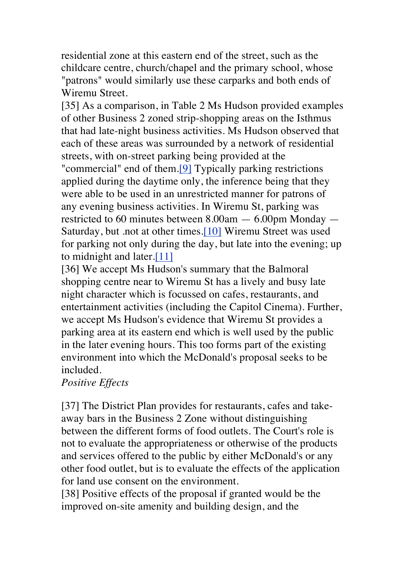residential zone at this eastern end of the street, such as the childcare centre, church/chapel and the primary school, whose "patrons" would similarly use these carparks and both ends of Wiremu Street.

[35] As a comparison, in Table 2 Ms Hudson provided examples of other Business 2 zoned strip-shopping areas on the Isthmus that had late-night business activities. Ms Hudson observed that each of these areas was surrounded by a network of residential streets, with on-street parking being provided at the "commercial" end of them.[9] Typically parking restrictions applied during the daytime only, the inference being that they were able to be used in an unrestricted manner for patrons of any evening business activities. In Wiremu St, parking was restricted to 60 minutes between 8.00am — 6.00pm Monday — Saturday, but .not at other times.[10] Wiremu Street was used for parking not only during the day, but late into the evening; up to midnight and later.[11]

[36] We accept Ms Hudson's summary that the Balmoral shopping centre near to Wiremu St has a lively and busy late night character which is focussed on cafes, restaurants, and entertainment activities (including the Capitol Cinema). Further, we accept Ms Hudson's evidence that Wiremu St provides a parking area at its eastern end which is well used by the public in the later evening hours. This too forms part of the existing environment into which the McDonald's proposal seeks to be included.

*Positive Effects*

[37] The District Plan provides for restaurants, cafes and takeaway bars in the Business 2 Zone without distinguishing between the different forms of food outlets. The Court's role is not to evaluate the appropriateness or otherwise of the products and services offered to the public by either McDonald's or any other food outlet, but is to evaluate the effects of the application for land use consent on the environment.

[38] Positive effects of the proposal if granted would be the improved on-site amenity and building design, and the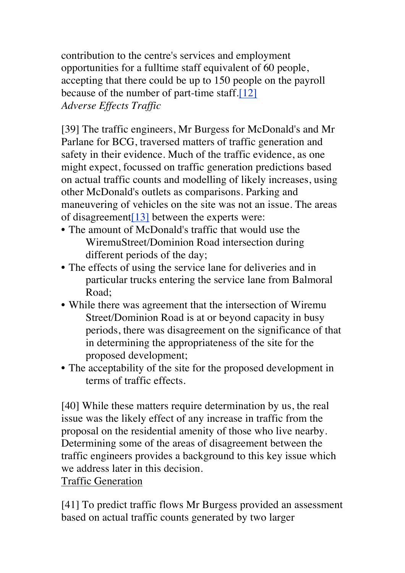contribution to the centre's services and employment opportunities for a fulltime staff equivalent of 60 people, accepting that there could be up to 150 people on the payroll because of the number of part-time staff.[12] *Adverse Effects Traffic*

[39] The traffic engineers, Mr Burgess for McDonald's and Mr Parlane for BCG, traversed matters of traffic generation and safety in their evidence. Much of the traffic evidence, as one might expect, focussed on traffic generation predictions based on actual traffic counts and modelling of likely increases, using other McDonald's outlets as comparisons. Parking and maneuvering of vehicles on the site was not an issue. The areas of disagreement[13] between the experts were:

- The amount of McDonald's traffic that would use the WiremuStreet/Dominion Road intersection during different periods of the day;
- The effects of using the service lane for deliveries and in particular trucks entering the service lane from Balmoral Road;
- While there was agreement that the intersection of Wiremu Street/Dominion Road is at or beyond capacity in busy periods, there was disagreement on the significance of that in determining the appropriateness of the site for the proposed development;
- The acceptability of the site for the proposed development in terms of traffic effects.

[40] While these matters require determination by us, the real issue was the likely effect of any increase in traffic from the proposal on the residential amenity of those who live nearby. Determining some of the areas of disagreement between the traffic engineers provides a background to this key issue which we address later in this decision.

Traffic Generation

[41] To predict traffic flows Mr Burgess provided an assessment based on actual traffic counts generated by two larger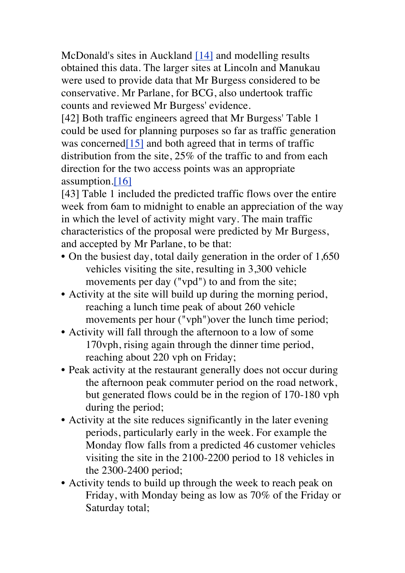McDonald's sites in Auckland [14] and modelling results obtained this data. The larger sites at Lincoln and Manukau were used to provide data that Mr Burgess considered to be conservative. Mr Parlane, for BCG, also undertook traffic counts and reviewed Mr Burgess' evidence.

[42] Both traffic engineers agreed that Mr Burgess' Table 1 could be used for planning purposes so far as traffic generation was concerned $[15]$  and both agreed that in terms of traffic distribution from the site, 25% of the traffic to and from each direction for the two access points was an appropriate assumption.[16]

[43] Table 1 included the predicted traffic flows over the entire week from 6am to midnight to enable an appreciation of the way in which the level of activity might vary. The main traffic characteristics of the proposal were predicted by Mr Burgess, and accepted by Mr Parlane, to be that:

- On the busiest day, total daily generation in the order of 1,650 vehicles visiting the site, resulting in 3,300 vehicle movements per day ("vpd") to and from the site;
- Activity at the site will build up during the morning period, reaching a lunch time peak of about 260 vehicle movements per hour ("vph")over the lunch time period;
- Activity will fall through the afternoon to a low of some 170vph, rising again through the dinner time period, reaching about 220 vph on Friday;
- Peak activity at the restaurant generally does not occur during the afternoon peak commuter period on the road network, but generated flows could be in the region of 170-180 vph during the period;
- Activity at the site reduces significantly in the later evening periods, particularly early in the week. For example the Monday flow falls from a predicted 46 customer vehicles visiting the site in the 2100-2200 period to 18 vehicles in the 2300-2400 period;
- Activity tends to build up through the week to reach peak on Friday, with Monday being as low as 70% of the Friday or Saturday total;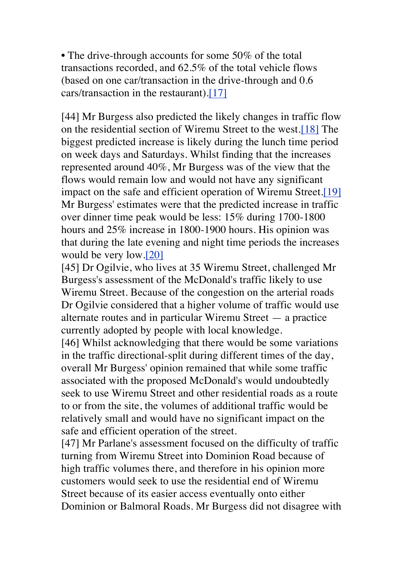• The drive-through accounts for some 50% of the total transactions recorded, and 62.5% of the total vehicle flows (based on one car/transaction in the drive-through and 0.6 cars/transaction in the restaurant).[17]

[44] Mr Burgess also predicted the likely changes in traffic flow on the residential section of Wiremu Street to the west.[18] The biggest predicted increase is likely during the lunch time period on week days and Saturdays. Whilst finding that the increases represented around 40%, Mr Burgess was of the view that the flows would remain low and would not have any significant impact on the safe and efficient operation of Wiremu Street.[19] Mr Burgess' estimates were that the predicted increase in traffic over dinner time peak would be less: 15% during 1700-1800 hours and 25% increase in 1800-1900 hours. His opinion was that during the late evening and night time periods the increases would be very low.[20]

[45] Dr Ogilvie, who lives at 35 Wiremu Street, challenged Mr Burgess's assessment of the McDonald's traffic likely to use Wiremu Street. Because of the congestion on the arterial roads Dr Ogilvie considered that a higher volume of traffic would use alternate routes and in particular Wiremu Street — a practice currently adopted by people with local knowledge.

[46] Whilst acknowledging that there would be some variations in the traffic directional-split during different times of the day, overall Mr Burgess' opinion remained that while some traffic associated with the proposed McDonald's would undoubtedly seek to use Wiremu Street and other residential roads as a route to or from the site, the volumes of additional traffic would be relatively small and would have no significant impact on the safe and efficient operation of the street.

[47] Mr Parlane's assessment focused on the difficulty of traffic turning from Wiremu Street into Dominion Road because of high traffic volumes there, and therefore in his opinion more customers would seek to use the residential end of Wiremu Street because of its easier access eventually onto either Dominion or Balmoral Roads. Mr Burgess did not disagree with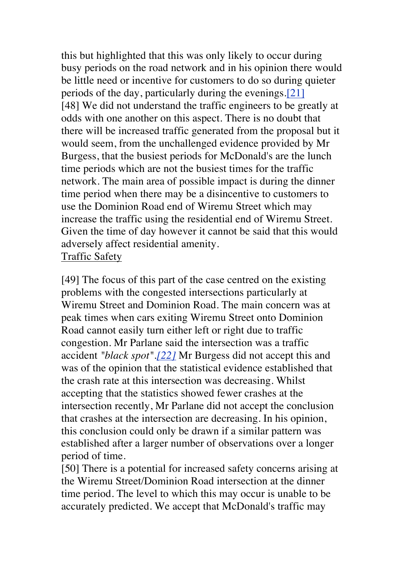this but highlighted that this was only likely to occur during busy periods on the road network and in his opinion there would be little need or incentive for customers to do so during quieter periods of the day, particularly during the evenings.[21] [48] We did not understand the traffic engineers to be greatly at odds with one another on this aspect. There is no doubt that there will be increased traffic generated from the proposal but it would seem, from the unchallenged evidence provided by Mr Burgess, that the busiest periods for McDonald's are the lunch time periods which are not the busiest times for the traffic network. The main area of possible impact is during the dinner time period when there may be a disincentive to customers to use the Dominion Road end of Wiremu Street which may increase the traffic using the residential end of Wiremu Street. Given the time of day however it cannot be said that this would adversely affect residential amenity. Traffic Safety

[49] The focus of this part of the case centred on the existing problems with the congested intersections particularly at Wiremu Street and Dominion Road. The main concern was at peak times when cars exiting Wiremu Street onto Dominion Road cannot easily turn either left or right due to traffic congestion. Mr Parlane said the intersection was a traffic accident *"black spot".[22]* Mr Burgess did not accept this and was of the opinion that the statistical evidence established that the crash rate at this intersection was decreasing. Whilst accepting that the statistics showed fewer crashes at the intersection recently, Mr Parlane did not accept the conclusion that crashes at the intersection are decreasing. In his opinion, this conclusion could only be drawn if a similar pattern was established after a larger number of observations over a longer period of time.

[50] There is a potential for increased safety concerns arising at the Wiremu Street/Dominion Road intersection at the dinner time period. The level to which this may occur is unable to be accurately predicted. We accept that McDonald's traffic may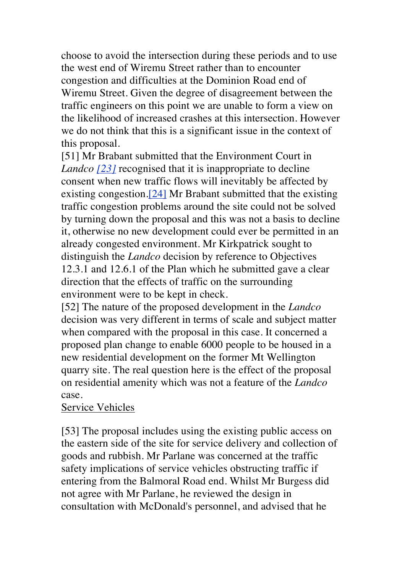choose to avoid the intersection during these periods and to use the west end of Wiremu Street rather than to encounter congestion and difficulties at the Dominion Road end of Wiremu Street. Given the degree of disagreement between the traffic engineers on this point we are unable to form a view on the likelihood of increased crashes at this intersection. However we do not think that this is a significant issue in the context of this proposal.

[51] Mr Brabant submitted that the Environment Court in *Landco [23]* recognised that it is inappropriate to decline consent when new traffic flows will inevitably be affected by existing congestion.[24] Mr Brabant submitted that the existing traffic congestion problems around the site could not be solved by turning down the proposal and this was not a basis to decline it, otherwise no new development could ever be permitted in an already congested environment. Mr Kirkpatrick sought to distinguish the *Landco* decision by reference to Objectives 12.3.1 and 12.6.1 of the Plan which he submitted gave a clear direction that the effects of traffic on the surrounding environment were to be kept in check.

[52] The nature of the proposed development in the *Landco*  decision was very different in terms of scale and subject matter when compared with the proposal in this case. It concerned a proposed plan change to enable 6000 people to be housed in a new residential development on the former Mt Wellington quarry site. The real question here is the effect of the proposal on residential amenity which was not a feature of the *Landco*  case.

#### Service Vehicles

[53] The proposal includes using the existing public access on the eastern side of the site for service delivery and collection of goods and rubbish. Mr Parlane was concerned at the traffic safety implications of service vehicles obstructing traffic if entering from the Balmoral Road end. Whilst Mr Burgess did not agree with Mr Parlane, he reviewed the design in consultation with McDonald's personnel, and advised that he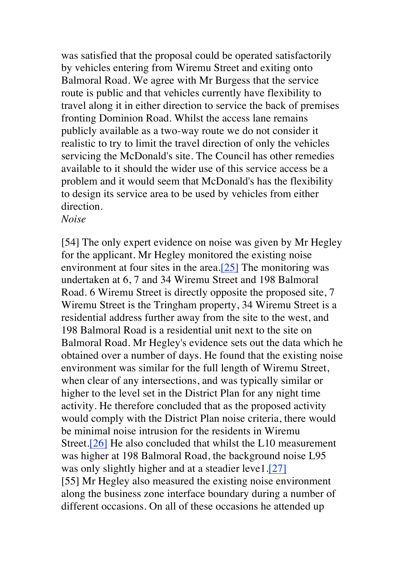was satisfied that the proposal could be operated satisfactorily by vehicles entering from Wiremu Street and exiting onto Balmoral Road. We agree with Mr Burgess that the service route is public and that vehicles currently have flexibility to travel along it in either direction to service the back of premises fronting Dominion Road. Whilst the access lane remains publicly available as a two-way route we do not consider it realistic to try to limit the travel direction of only the vehicles servicing the McDonald's site. The Council has other remedies available to it should the wider use of this service access be a problem and it would seem that McDonald's has the flexibility to design its service area to be used by vehicles from either direction.

*Noise*

[54] The only expert evidence on noise was given by Mr Hegley for the applicant. Mr Hegley monitored the existing noise environment at four sites in the area. $[25]$  The monitoring was undertaken at 6, 7 and 34 Wiremu Street and 198 Balmoral Road. 6 Wiremu Street is directly opposite the proposed site, 7 Wiremu Street is the Tringham property, 34 Wiremu Street is a residential address further away from the site to the west, and 198 Balmoral Road is a residential unit next to the site on Balmoral Road. Mr Hegley's evidence sets out the data which he obtained over a number of days. He found that the existing noise environment was similar for the full length of Wiremu Street, when clear of any intersections, and was typically similar or higher to the level set in the District Plan for any night time activity. He therefore concluded that as the proposed activity would comply with the District Plan noise criteria, there would be minimal noise intrusion for the residents in Wiremu Street.[26] He also concluded that whilst the L10 measurement was higher at 198 Balmoral Road, the background noise L95 was only slightly higher and at a steadier leve1.[27] [55] Mr Hegley also measured the existing noise environment along the business zone interface boundary during a number of different occasions. On all of these occasions he attended up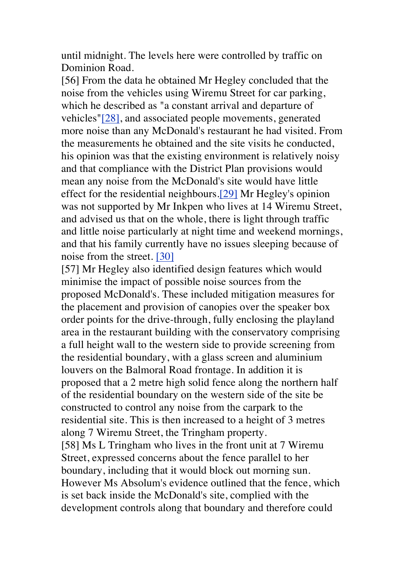until midnight. The levels here were controlled by traffic on Dominion Road.

[56] From the data he obtained Mr Hegley concluded that the noise from the vehicles using Wiremu Street for car parking, which he described as "a constant arrival and departure of vehicles"[28], and associated people movements, generated more noise than any McDonald's restaurant he had visited. From the measurements he obtained and the site visits he conducted, his opinion was that the existing environment is relatively noisy and that compliance with the District Plan provisions would mean any noise from the McDonald's site would have little effect for the residential neighbours.[29] Mr Hegley's opinion was not supported by Mr Inkpen who lives at 14 Wiremu Street, and advised us that on the whole, there is light through traffic and little noise particularly at night time and weekend mornings, and that his family currently have no issues sleeping because of noise from the street. [30]

[57] Mr Hegley also identified design features which would minimise the impact of possible noise sources from the proposed McDonald's. These included mitigation measures for the placement and provision of canopies over the speaker box order points for the drive-through, fully enclosing the playland area in the restaurant building with the conservatory comprising a full height wall to the western side to provide screening from the residential boundary, with a glass screen and aluminium louvers on the Balmoral Road frontage. In addition it is proposed that a 2 metre high solid fence along the northern half of the residential boundary on the western side of the site be constructed to control any noise from the carpark to the residential site. This is then increased to a height of 3 metres along 7 Wiremu Street, the Tringham property. [58] Ms L Tringham who lives in the front unit at 7 Wiremu Street, expressed concerns about the fence parallel to her boundary, including that it would block out morning sun.

However Ms Absolum's evidence outlined that the fence, which is set back inside the McDonald's site, complied with the development controls along that boundary and therefore could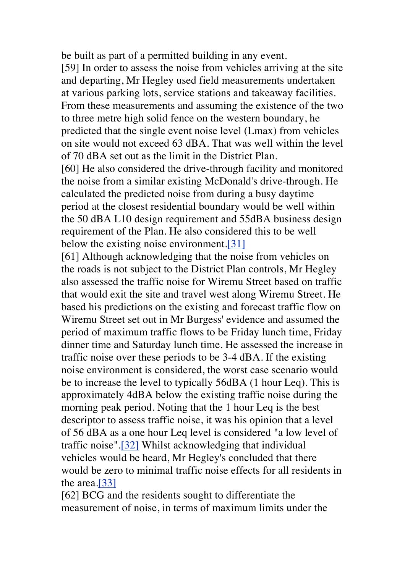be built as part of a permitted building in any event.

[59] In order to assess the noise from vehicles arriving at the site and departing, Mr Hegley used field measurements undertaken at various parking lots, service stations and takeaway facilities. From these measurements and assuming the existence of the two to three metre high solid fence on the western boundary, he predicted that the single event noise level (Lmax) from vehicles on site would not exceed 63 dBA. That was well within the level of 70 dBA set out as the limit in the District Plan.

[60] He also considered the drive-through facility and monitored the noise from a similar existing McDonald's drive-through. He calculated the predicted noise from during a busy daytime period at the closest residential boundary would be well within the 50 dBA L10 design requirement and 55dBA business design requirement of the Plan. He also considered this to be well below the existing noise environment.[31]

[61] Although acknowledging that the noise from vehicles on the roads is not subject to the District Plan controls, Mr Hegley also assessed the traffic noise for Wiremu Street based on traffic that would exit the site and travel west along Wiremu Street. He based his predictions on the existing and forecast traffic flow on Wiremu Street set out in Mr Burgess' evidence and assumed the period of maximum traffic flows to be Friday lunch time, Friday dinner time and Saturday lunch time. He assessed the increase in traffic noise over these periods to be 3-4 dBA. If the existing noise environment is considered, the worst case scenario would be to increase the level to typically 56dBA (1 hour Leq). This is approximately 4dBA below the existing traffic noise during the morning peak period. Noting that the 1 hour Leq is the best descriptor to assess traffic noise, it was his opinion that a level of 56 dBA as a one hour Leq level is considered "a low level of traffic noise".[32] Whilst acknowledging that individual vehicles would be heard, Mr Hegley's concluded that there would be zero to minimal traffic noise effects for all residents in the area.[33]

[62] BCG and the residents sought to differentiate the measurement of noise, in terms of maximum limits under the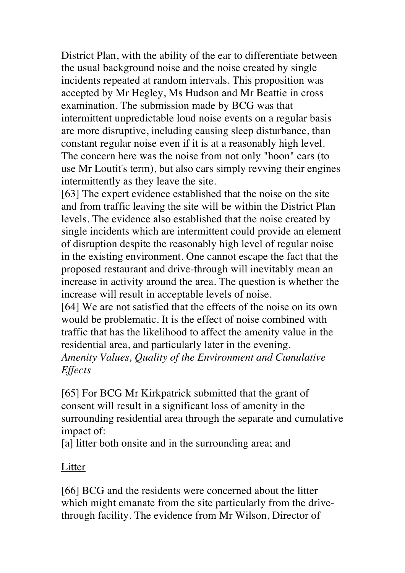District Plan, with the ability of the ear to differentiate between the usual background noise and the noise created by single incidents repeated at random intervals. This proposition was accepted by Mr Hegley, Ms Hudson and Mr Beattie in cross examination. The submission made by BCG was that intermittent unpredictable loud noise events on a regular basis are more disruptive, including causing sleep disturbance, than constant regular noise even if it is at a reasonably high level. The concern here was the noise from not only "hoon" cars (to use Mr Loutit's term), but also cars simply revving their engines intermittently as they leave the site.

[63] The expert evidence established that the noise on the site and from traffic leaving the site will be within the District Plan levels. The evidence also established that the noise created by single incidents which are intermittent could provide an element of disruption despite the reasonably high level of regular noise in the existing environment. One cannot escape the fact that the proposed restaurant and drive-through will inevitably mean an increase in activity around the area. The question is whether the increase will result in acceptable levels of noise.

[64] We are not satisfied that the effects of the noise on its own would be problematic. It is the effect of noise combined with traffic that has the likelihood to affect the amenity value in the residential area, and particularly later in the evening. *Amenity Values, Quality of the Environment and Cumulative Effects*

[65] For BCG Mr Kirkpatrick submitted that the grant of consent will result in a significant loss of amenity in the surrounding residential area through the separate and cumulative impact of:

[a] litter both onsite and in the surrounding area; and

#### Litter

[66] BCG and the residents were concerned about the litter which might emanate from the site particularly from the drivethrough facility. The evidence from Mr Wilson, Director of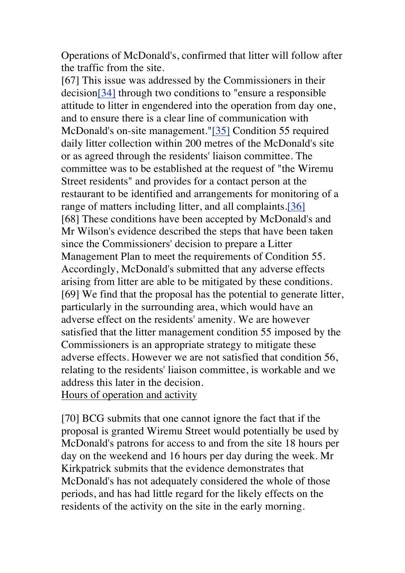Operations of McDonald's, confirmed that litter will follow after the traffic from the site.

[67] This issue was addressed by the Commissioners in their decision[34] through two conditions to "ensure a responsible attitude to litter in engendered into the operation from day one, and to ensure there is a clear line of communication with McDonald's on-site management."[35] Condition 55 required daily litter collection within 200 metres of the McDonald's site or as agreed through the residents' liaison committee. The committee was to be established at the request of "the Wiremu Street residents" and provides for a contact person at the restaurant to be identified and arrangements for monitoring of a range of matters including litter, and all complaints.[36] [68] These conditions have been accepted by McDonald's and Mr Wilson's evidence described the steps that have been taken since the Commissioners' decision to prepare a Litter Management Plan to meet the requirements of Condition 55. Accordingly, McDonald's submitted that any adverse effects arising from litter are able to be mitigated by these conditions. [69] We find that the proposal has the potential to generate litter, particularly in the surrounding area, which would have an adverse effect on the residents' amenity. We are however satisfied that the litter management condition 55 imposed by the Commissioners is an appropriate strategy to mitigate these adverse effects. However we are not satisfied that condition 56, relating to the residents' liaison committee, is workable and we address this later in the decision. Hours of operation and activity

[70] BCG submits that one cannot ignore the fact that if the proposal is granted Wiremu Street would potentially be used by McDonald's patrons for access to and from the site 18 hours per day on the weekend and 16 hours per day during the week. Mr Kirkpatrick submits that the evidence demonstrates that McDonald's has not adequately considered the whole of those periods, and has had little regard for the likely effects on the residents of the activity on the site in the early morning.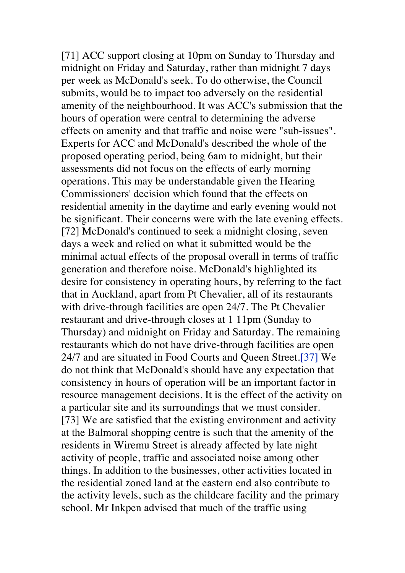[71] ACC support closing at 10pm on Sunday to Thursday and midnight on Friday and Saturday, rather than midnight 7 days per week as McDonald's seek. To do otherwise, the Council submits, would be to impact too adversely on the residential amenity of the neighbourhood. It was ACC's submission that the hours of operation were central to determining the adverse effects on amenity and that traffic and noise were "sub-issues". Experts for ACC and McDonald's described the whole of the proposed operating period, being 6am to midnight, but their assessments did not focus on the effects of early morning operations. This may be understandable given the Hearing Commissioners' decision which found that the effects on residential amenity in the daytime and early evening would not be significant. Their concerns were with the late evening effects. [72] McDonald's continued to seek a midnight closing, seven days a week and relied on what it submitted would be the minimal actual effects of the proposal overall in terms of traffic generation and therefore noise. McDonald's highlighted its desire for consistency in operating hours, by referring to the fact that in Auckland, apart from Pt Chevalier, all of its restaurants with drive-through facilities are open 24/7. The Pt Chevalier restaurant and drive-through closes at 1 11pm (Sunday to Thursday) and midnight on Friday and Saturday. The remaining restaurants which do not have drive-through facilities are open 24/7 and are situated in Food Courts and Queen Street.[37] We do not think that McDonald's should have any expectation that consistency in hours of operation will be an important factor in resource management decisions. It is the effect of the activity on a particular site and its surroundings that we must consider. [73] We are satisfied that the existing environment and activity at the Balmoral shopping centre is such that the amenity of the residents in Wiremu Street is already affected by late night activity of people, traffic and associated noise among other things. In addition to the businesses, other activities located in the residential zoned land at the eastern end also contribute to the activity levels, such as the childcare facility and the primary school. Mr Inkpen advised that much of the traffic using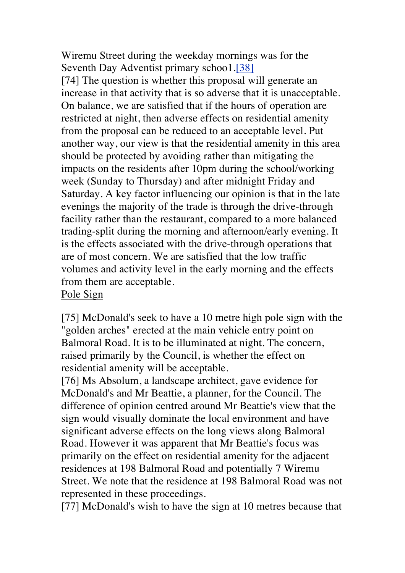Wiremu Street during the weekday mornings was for the Seventh Day Adventist primary schoo1.[38]

[74] The question is whether this proposal will generate an increase in that activity that is so adverse that it is unacceptable. On balance, we are satisfied that if the hours of operation are restricted at night, then adverse effects on residential amenity from the proposal can be reduced to an acceptable level. Put another way, our view is that the residential amenity in this area should be protected by avoiding rather than mitigating the impacts on the residents after 10pm during the school/working week (Sunday to Thursday) and after midnight Friday and Saturday. A key factor influencing our opinion is that in the late evenings the majority of the trade is through the drive-through facility rather than the restaurant, compared to a more balanced trading-split during the morning and afternoon/early evening. It is the effects associated with the drive-through operations that are of most concern. We are satisfied that the low traffic volumes and activity level in the early morning and the effects from them are acceptable.

Pole Sign

[75] McDonald's seek to have a 10 metre high pole sign with the "golden arches" erected at the main vehicle entry point on Balmoral Road. It is to be illuminated at night. The concern, raised primarily by the Council, is whether the effect on residential amenity will be acceptable.

[76] Ms Absolum, a landscape architect, gave evidence for McDonald's and Mr Beattie, a planner, for the Council. The difference of opinion centred around Mr Beattie's view that the sign would visually dominate the local environment and have significant adverse effects on the long views along Balmoral Road. However it was apparent that Mr Beattie's focus was primarily on the effect on residential amenity for the adjacent residences at 198 Balmoral Road and potentially 7 Wiremu Street. We note that the residence at 198 Balmoral Road was not represented in these proceedings.

[77] McDonald's wish to have the sign at 10 metres because that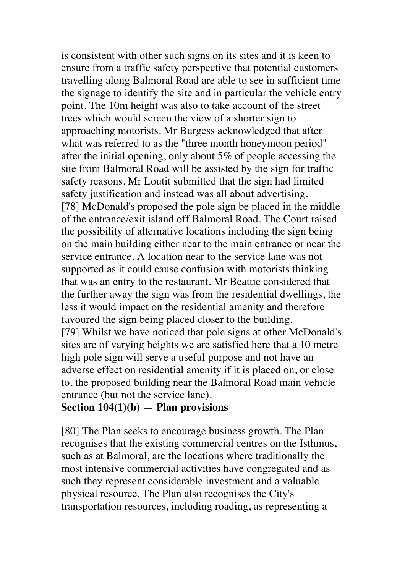is consistent with other such signs on its sites and it is keen to ensure from a traffic safety perspective that potential customers travelling along Balmoral Road are able to see in sufficient time the signage to identify the site and in particular the vehicle entry point. The 10m height was also to take account of the street trees which would screen the view of a shorter sign to approaching motorists. Mr Burgess acknowledged that after what was referred to as the "three month honeymoon period" after the initial opening, only about 5% of people accessing the site from Balmoral Road will be assisted by the sign for traffic safety reasons. Mr Loutit submitted that the sign had limited safety justification and instead was all about advertising. [78] McDonald's proposed the pole sign be placed in the middle of the entrance/exit island off Balmoral Road. The Court raised the possibility of alternative locations including the sign being on the main building either near to the main entrance or near the service entrance. A location near to the service lane was not supported as it could cause confusion with motorists thinking that was an entry to the restaurant. Mr Beattie considered that the further away the sign was from the residential dwellings, the less it would impact on the residential amenity and therefore favoured the sign being placed closer to the building. [79] Whilst we have noticed that pole signs at other McDonald's sites are of varying heights we are satisfied here that a 10 metre high pole sign will serve a useful purpose and not have an adverse effect on residential amenity if it is placed on, or close to, the proposed building near the Balmoral Road main vehicle entrance (but not the service lane).

#### **Section 104(1)(b) — Plan provisions**

[80] The Plan seeks to encourage business growth. The Plan recognises that the existing commercial centres on the Isthmus, such as at Balmoral, are the locations where traditionally the most intensive commercial activities have congregated and as such they represent considerable investment and a valuable physical resource. The Plan also recognises the City's transportation resources, including roading, as representing a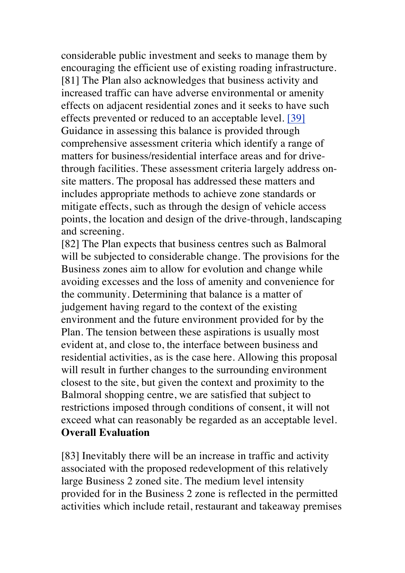considerable public investment and seeks to manage them by encouraging the efficient use of existing roading infrastructure. [81] The Plan also acknowledges that business activity and increased traffic can have adverse environmental or amenity effects on adjacent residential zones and it seeks to have such effects prevented or reduced to an acceptable level. [39] Guidance in assessing this balance is provided through comprehensive assessment criteria which identify a range of matters for business/residential interface areas and for drivethrough facilities. These assessment criteria largely address onsite matters. The proposal has addressed these matters and includes appropriate methods to achieve zone standards or mitigate effects, such as through the design of vehicle access points, the location and design of the drive-through, landscaping and screening.

[82] The Plan expects that business centres such as Balmoral will be subjected to considerable change. The provisions for the Business zones aim to allow for evolution and change while avoiding excesses and the loss of amenity and convenience for the community. Determining that balance is a matter of judgement having regard to the context of the existing environment and the future environment provided for by the Plan. The tension between these aspirations is usually most evident at, and close to, the interface between business and residential activities, as is the case here. Allowing this proposal will result in further changes to the surrounding environment closest to the site, but given the context and proximity to the Balmoral shopping centre, we are satisfied that subject to restrictions imposed through conditions of consent, it will not exceed what can reasonably be regarded as an acceptable level. **Overall Evaluation**

[83] Inevitably there will be an increase in traffic and activity associated with the proposed redevelopment of this relatively large Business 2 zoned site. The medium level intensity provided for in the Business 2 zone is reflected in the permitted activities which include retail, restaurant and takeaway premises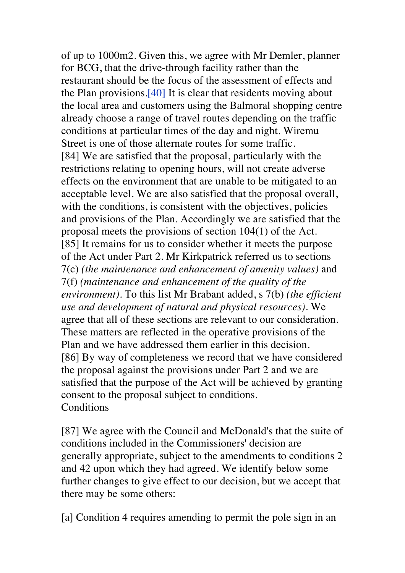of up to 1000m2. Given this, we agree with Mr Demler, planner for BCG, that the drive-through facility rather than the restaurant should be the focus of the assessment of effects and the Plan provisions.[40] It is clear that residents moving about the local area and customers using the Balmoral shopping centre already choose a range of travel routes depending on the traffic conditions at particular times of the day and night. Wiremu Street is one of those alternate routes for some traffic. [84] We are satisfied that the proposal, particularly with the restrictions relating to opening hours, will not create adverse effects on the environment that are unable to be mitigated to an acceptable level. We are also satisfied that the proposal overall, with the conditions, is consistent with the objectives, policies and provisions of the Plan. Accordingly we are satisfied that the proposal meets the provisions of section 104(1) of the Act. [85] It remains for us to consider whether it meets the purpose of the Act under Part 2. Mr Kirkpatrick referred us to sections 7(c) *(the maintenance and enhancement of amenity values)* and 7(f) *(maintenance and enhancement of the quality of the environment).* To this list Mr Brabant added, s 7(b) *(the efficient use and development of natural and physical resources).* We agree that all of these sections are relevant to our consideration. These matters are reflected in the operative provisions of the Plan and we have addressed them earlier in this decision. [86] By way of completeness we record that we have considered the proposal against the provisions under Part 2 and we are satisfied that the purpose of the Act will be achieved by granting consent to the proposal subject to conditions. **Conditions** 

[87] We agree with the Council and McDonald's that the suite of conditions included in the Commissioners' decision are generally appropriate, subject to the amendments to conditions 2 and 42 upon which they had agreed. We identify below some further changes to give effect to our decision, but we accept that there may be some others:

[a] Condition 4 requires amending to permit the pole sign in an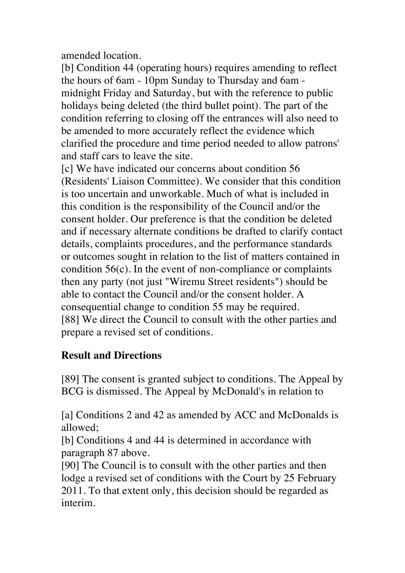amended location.

[b] Condition 44 (operating hours) requires amending to reflect the hours of 6am - 10pm Sunday to Thursday and 6am midnight Friday and Saturday, but with the reference to public holidays being deleted (the third bullet point). The part of the condition referring to closing off the entrances will also need to be amended to more accurately reflect the evidence which clarified the procedure and time period needed to allow patrons' and staff cars to leave the site.

[c] We have indicated our concerns about condition 56 (Residents' Liaison Committee). We consider that this condition is too uncertain and unworkable. Much of what is included in this condition is the responsibility of the Council and/or the consent holder. Our preference is that the condition be deleted and if necessary alternate conditions be drafted to clarify contact details, complaints procedures, and the performance standards or outcomes sought in relation to the list of matters contained in condition 56(c). In the event of non-compliance or complaints then any party (not just "Wiremu Street residents") should be able to contact the Council and/or the consent holder. A consequential change to condition 55 may be required. [88] We direct the Council to consult with the other parties and prepare a revised set of conditions.

### **Result and Directions**

[89] The consent is granted subject to conditions. The Appeal by BCG is dismissed. The Appeal by McDonald's in relation to

[a] Conditions 2 and 42 as amended by ACC and McDonalds is allowed;

[b] Conditions 4 and 44 is determined in accordance with paragraph 87 above.

[90] The Council is to consult with the other parties and then lodge a revised set of conditions with the Court by 25 February 2011. To that extent only, this decision should be regarded as interim.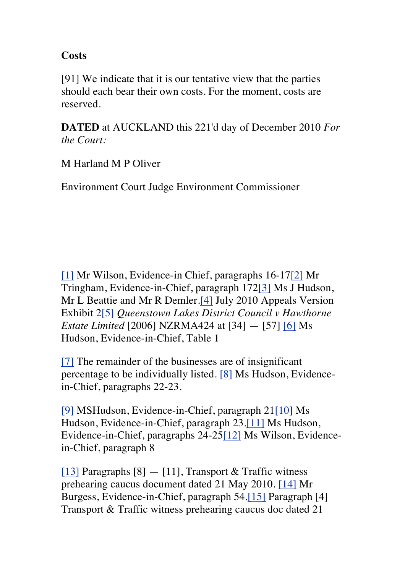#### **Costs**

[91] We indicate that it is our tentative view that the parties should each bear their own costs. For the moment, costs are reserved.

**DATED** at AUCKLAND this 221'd day of December 2010 *For the Court:*

M Harland M P Oliver

Environment Court Judge Environment Commissioner

[1] Mr Wilson, Evidence-in Chief, paragraphs 16-17[2] Mr Tringham, Evidence-in-Chief, paragraph 172[3] Ms J Hudson, Mr L Beattie and Mr R Demler.[4] July 2010 Appeals Version Exhibit 2[5] *Queenstown Lakes District Council v Hawthorne Estate Limited* [2006] NZRMA424 at [34] — [57] [6] Ms Hudson, Evidence-in-Chief, Table 1

[7] The remainder of the businesses are of insignificant percentage to be individually listed. [8] Ms Hudson, Evidencein-Chief, paragraphs 22-23.

[9] MSHudson, Evidence-in-Chief, paragraph 21[10] Ms Hudson, Evidence-in-Chief, paragraph 23.[11] Ms Hudson, Evidence-in-Chief, paragraphs 24-25[12] Ms Wilson, Evidencein-Chief, paragraph 8

[13] Paragraphs  $[8] - [11]$ , Transport & Traffic witness prehearing caucus document dated 21 May 2010. [14] Mr Burgess, Evidence-in-Chief, paragraph 54.[15] Paragraph [4] Transport & Traffic witness prehearing caucus doc dated 21